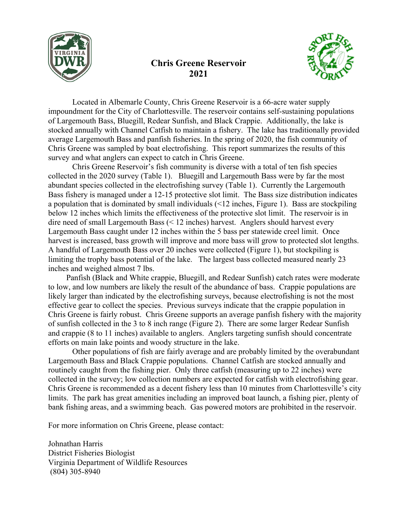

## **Chris Greene Reservoir 2021**



Located in Albemarle County, Chris Greene Reservoir is a 66-acre water supply impoundment for the City of Charlottesville. The reservoir contains self-sustaining populations of Largemouth Bass, Bluegill, Redear Sunfish, and Black Crappie. Additionally, the lake is stocked annually with Channel Catfish to maintain a fishery. The lake has traditionally provided average Largemouth Bass and panfish fisheries. In the spring of 2020, the fish community of Chris Greene was sampled by boat electrofishing. This report summarizes the results of this survey and what anglers can expect to catch in Chris Greene.

Chris Greene Reservoir's fish community is diverse with a total of ten fish species collected in the 2020 survey (Table 1). Bluegill and Largemouth Bass were by far the most abundant species collected in the electrofishing survey (Table 1). Currently the Largemouth Bass fishery is managed under a 12-15 protective slot limit. The Bass size distribution indicates a population that is dominated by small individuals  $(12 \times 12 \times 1)$ . Bass are stockpiling below 12 inches which limits the effectiveness of the protective slot limit. The reservoir is in dire need of small Largemouth Bass (< 12 inches) harvest. Anglers should harvest every Largemouth Bass caught under 12 inches within the 5 bass per statewide creel limit. Once harvest is increased, bass growth will improve and more bass will grow to protected slot lengths. A handful of Largemouth Bass over 20 inches were collected (Figure 1), but stockpiling is limiting the trophy bass potential of the lake. The largest bass collected measured nearly 23 inches and weighed almost 7 lbs.

Panfish (Black and White crappie, Bluegill, and Redear Sunfish) catch rates were moderate to low, and low numbers are likely the result of the abundance of bass. Crappie populations are likely larger than indicated by the electrofishing surveys, because electrofishing is not the most effective gear to collect the species. Previous surveys indicate that the crappie population in Chris Greene is fairly robust. Chris Greene supports an average panfish fishery with the majority of sunfish collected in the 3 to 8 inch range (Figure 2). There are some larger Redear Sunfish and crappie (8 to 11 inches) available to anglers. Anglers targeting sunfish should concentrate efforts on main lake points and woody structure in the lake.

Other populations of fish are fairly average and are probably limited by the overabundant Largemouth Bass and Black Crappie populations. Channel Catfish are stocked annually and routinely caught from the fishing pier. Only three catfish (measuring up to 22 inches) were collected in the survey; low collection numbers are expected for catfish with electrofishing gear. Chris Greene is recommended as a decent fishery less than 10 minutes from Charlottesville's city limits. The park has great amenities including an improved boat launch, a fishing pier, plenty of bank fishing areas, and a swimming beach. Gas powered motors are prohibited in the reservoir.

For more information on Chris Greene, please contact:

Johnathan Harris District Fisheries Biologist Virginia Department of Wildlife Resources (804) 305-8940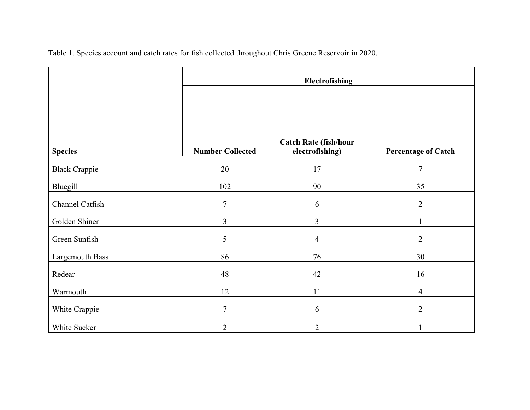|  |  |  | Table 1. Species account and catch rates for fish collected throughout Chris Greene Reservoir in 2020. |
|--|--|--|--------------------------------------------------------------------------------------------------------|
|  |  |  |                                                                                                        |

|                      | Electrofishing          |                                                 |                            |  |  |
|----------------------|-------------------------|-------------------------------------------------|----------------------------|--|--|
| <b>Species</b>       | <b>Number Collected</b> | <b>Catch Rate (fish/hour</b><br>electrofishing) | <b>Percentage of Catch</b> |  |  |
| <b>Black Crappie</b> | 20                      | 17                                              | $\overline{7}$             |  |  |
| Bluegill             | 102                     | 90                                              | 35                         |  |  |
| Channel Catfish      | $\overline{7}$          | 6                                               | $\overline{2}$             |  |  |
| Golden Shiner        | 3                       | $\overline{3}$                                  |                            |  |  |
| Green Sunfish        | 5                       | $\overline{4}$                                  | $\overline{2}$             |  |  |
| Largemouth Bass      | 86                      | 76                                              | 30                         |  |  |
| Redear               | 48                      | 42                                              | 16                         |  |  |
| Warmouth             | 12                      | 11                                              | $\overline{4}$             |  |  |
| White Crappie        | $\overline{7}$          | 6                                               | $\overline{2}$             |  |  |
| White Sucker         | $\overline{2}$          | $\overline{2}$                                  |                            |  |  |